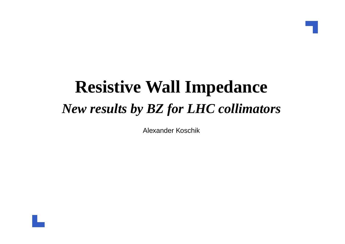#### **Resistive Wall Impedance***New results by BZ for LHC collimators*

Alexander Koschik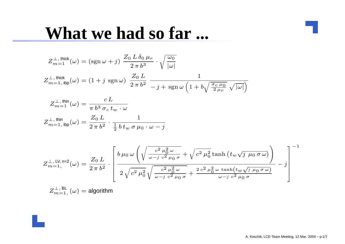#### **What we had so far ...**

$$
Z_{m=1}^{\perp, \text{ thick}}(\omega) = (\text{sgn }\omega + j) \frac{Z_0 L \delta_0 \mu_r}{2 \pi b^3} \cdot \sqrt{\frac{\omega_0}{|\omega|}}
$$
  

$$
Z_{m=1, \text{ ibp}}^{\perp, \text{ thick}}(\omega) = (1 + j \text{ sgn }\omega) \frac{Z_0 L}{2 \pi b^2} \frac{1}{-j + \text{ sgn }\omega \left(1 + b\sqrt{\frac{\sigma_c \mu_0}{2 \mu_r}} \sqrt{|\omega|}\right)}
$$
  

$$
Z_{\perp, \text{ thin}(\omega)}^{\perp, \text{ thin}(\omega)} = \frac{cL}{2 \pi b^2}
$$

$$
Z_{m=1}^{\perp, \text{ thin}}(\omega) = \frac{c L}{\pi b^3 \sigma_c t_w \cdot \omega}
$$

$$
Z_{m=1, \text{ ibp}}^{\perp, \text{ thin}}(\omega) = \frac{Z_0 L}{2 \pi b^2} \cdot \frac{1}{\frac{1}{2} b t_w \sigma \mu_0 \cdot \omega - j}
$$

$$
Z_{m=1,}^{\perp,\text{ LV},\text{ n=2}}(\omega) = \frac{Z_0 L}{2\,\pi\,b^2} \cdot \left[\frac{b\,\mu_0\,\omega\left(\sqrt{\frac{c^2\,\mu_0^2\,\omega}{\omega - j\,\,c^2\,\mu_0\,\sigma}} + \sqrt{c^2\,\mu_0^2\,\text{tanh}\left(t_w\sqrt{j\,\mu_0\,\sigma\,\omega}\right)}\right]}{2\,\sqrt{c^2\,\mu_0^2\,\sqrt{\frac{c^2\,\mu_0^2\,\omega}{\omega - j\,\,c^2\,\mu_0\,\sigma}} + \frac{2\,c^2\,\mu_0^2\,\omega\,\tanh(t_w\sqrt{j\,\mu_0\,\sigma\,\omega})}{\omega - j\,\,c^2\,\mu_0\,\sigma}} - j\right]^{-1}
$$

$$
Z_{m=1,}^{\perp, \, \text{BL}}(\omega) = \text{algorithm}
$$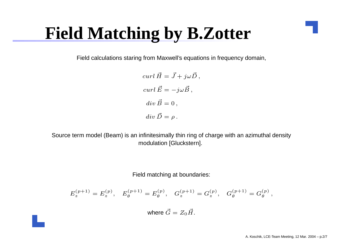## **Field Matching by B.Zotter**

Field calculations staring from Maxwell's equations in frequency domain,

$$
curl \vec{H} = \vec{J} + j\omega \vec{D},
$$
  
\n
$$
curl \vec{E} = -j\omega \vec{B},
$$
  
\n
$$
div \vec{B} = 0,
$$
  
\n
$$
div \vec{D} = \rho.
$$

Source term model (Beam) is an infinitesimally thin ring of charge with an azimuthal densitymodulation [Gluckstern].

Field matching at boundaries:

$$
E_z^{(p+1)} = E_z^{(p)}, \quad E_\theta^{(p+1)} = E_\theta^{(p)}, \quad G_z^{(p+1)} = G_z^{(p)}, \quad G_\theta^{(p+1)} = G_\theta^{(p)},
$$

where  $\vec{G}=Z_0\vec{H}$  .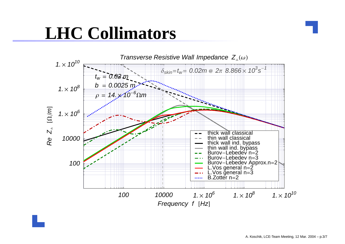## **LHC Collimators**

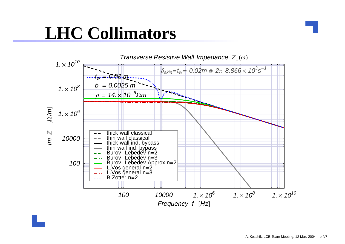## **LHC Collimators**

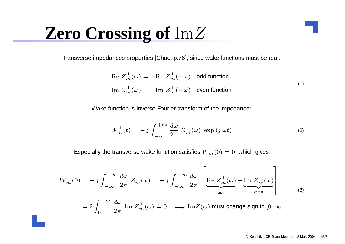# **Zero Crossing of** ImZ

Transverse impedances properties [Chao, p.76], since wake functions must be real:

$$
\text{Re } Z_m^{\perp}(\omega) = -\text{Re } Z_m^{\perp}(-\omega) \quad \text{odd function}
$$
\n
$$
\text{Im } Z_m^{\perp}(\omega) = \text{Im } Z_m^{\perp}(-\omega) \quad \text{even function}
$$
\n(1)

Wake function is Inverse Fourier transform of the impedance:

$$
W_m^{\perp}(t) = -j \int_{-\infty}^{+\infty} \frac{d\omega}{2\pi} Z_m^{\perp}(\omega) \exp(j \omega t)
$$
 (2)

Especially the transverse wake function satisfies  $W_m(0)=0,$  which gives

$$
W_m^{\perp}(0) = -j \int_{-\infty}^{+\infty} \frac{d\omega}{2\pi} Z_m^{\perp}(\omega) = -j \int_{-\infty}^{+\infty} \frac{d\omega}{2\pi} \left[ \underbrace{\text{Re } Z_m^{\perp}(\omega)}_{\text{odd}} + \underbrace{\text{Im } Z_m^{\perp}(\omega)}_{\text{even}} \right]
$$
  
=  $2 \int_0^{+\infty} \frac{d\omega}{2\pi} \text{Im } Z_m^{\perp}(\omega) \stackrel{!}{=} 0 \implies \text{Im } Z(\omega) \text{ must change sign in } [0, \infty]$  (3)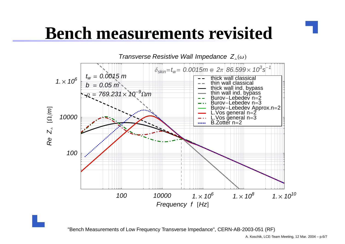### **Bench measurements revisited**



"Bench Measurements of Low Frequency Transverse Impedance", CERN-AB-2003-051 (RF)